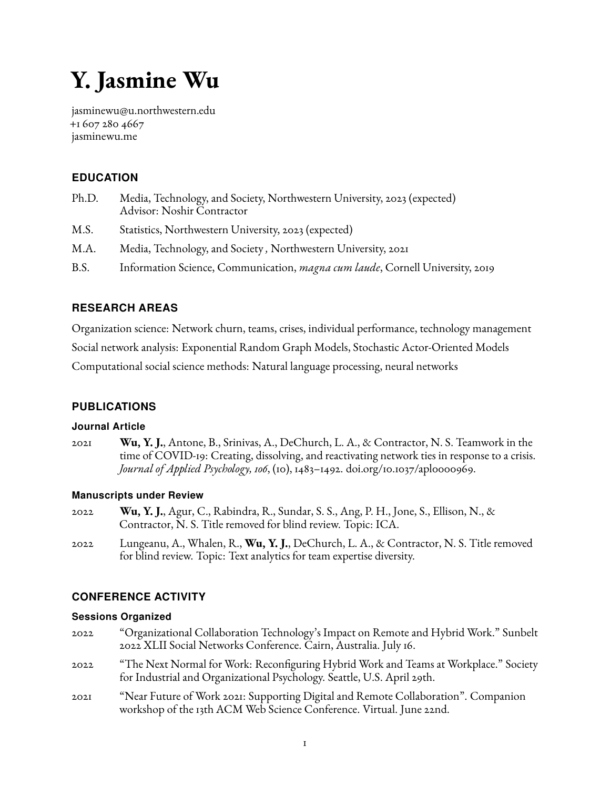# <span id="page-0-0"></span>**Y. Jasmine Wu**

[jasminewu@u.northwestern.edu](mailto:jasminewu@u.northwestern.edu) +1 607 280 4667 [jasminewu.me](www.jasminewu.me)

# **EDUCATION**

- Ph.D. Media, Technology, and Society, Northwestern University, 2023 (expected) Advisor: Noshir Contractor
- M.S. Statistics, Northwestern University, 2023 (expected)
- M.A. Media, Technology, and Society *,* Northwestern University, 2021
- B.S. Information Science, Communication, *magna cum laude*, Cornell University, 2019

# **RESEARCH AREAS**

Organization science: Network churn, teams, crises, individual performance, technology management Social network analysis: Exponential Random Graph Models, Stochastic Actor-Oriented Models Computational social science methods: Natural language processing, neural networks

# **PUBLICATIONS**

## **Journal Article**

2021 **Wu, Y. J.**, Antone, B., Srinivas, A., DeChurch, L. A., & Contractor, N. S. Teamwork in the time of COVID-19: Creating, dissolving, and reactivating network ties in response to a crisis. *Journal of Applied Psychology, 106*, (10), 1483–1492. [doi.org/10.1037/apl0000969.](https://doi.org/10.1037/apl0000969)

## **Manuscripts under Review**

- 2022 **Wu, Y. J.**, Agur, C., Rabindra, R., Sundar, S. S., Ang, P. H., Jone, S., Ellison, N., & Contractor, N. S. Title removed for blind review. Topic: ICA.
- 2022 Lungeanu, A., Whalen, R., **Wu, Y. J.**, DeChurch, L. A., & Contractor, N. S. Title removed for blind review. Topic: Text analytics for team expertise diversity.

## **CONFERENCE ACTIVITY**

#### **Sessions Organized**

- 2022 "Organizational Collaboration Technology's Impact on Remote and Hybrid Work." Sunbelt 2022 XLII Social Networks Conference. Cairn, Australia. July 16.
- 2022 "The Next Normal for Work: Reconfiguring Hybrid Work and Teams at Workplace." Society for Industrial and Organizational Psychology. Seattle, U.S. April 29th.
- 2021 "Near Future of Work 2021: Supporting Digital and Remote Collaboration". Companion workshop of the 13th ACM Web Science Conference. Virtual. June 22nd.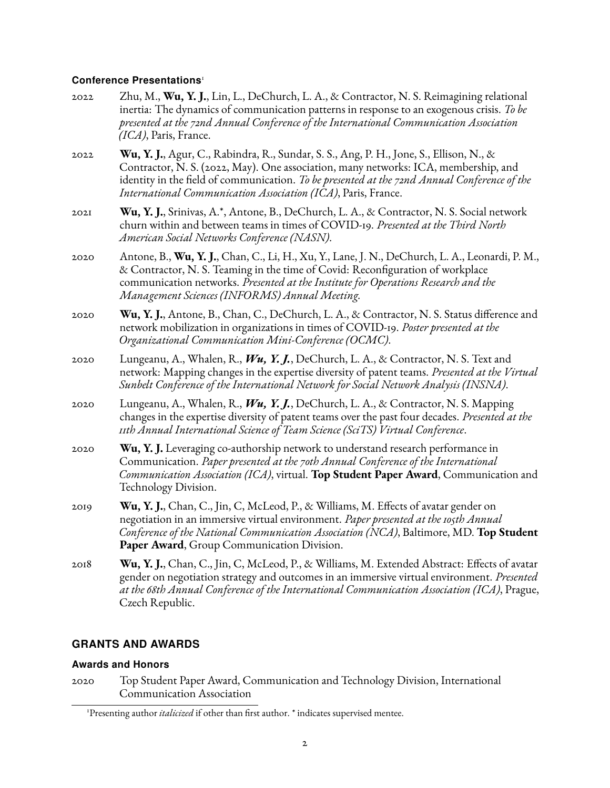#### **Conference Presentations**[1](#page-0-0)

- 2022 Zhu, M., **Wu, Y. J.**, Lin, L., DeChurch, L. A., & Contractor, N. S. Reimagining relational inertia: The dynamics of communication patterns in response to an exogenous crisis. *To be presented at the 72nd Annual Conference of the International Communication Association (ICA)*, Paris, France.
- 2022 **Wu, Y. J.**, Agur, C., Rabindra, R., Sundar, S. S., Ang, P. H., Jone, S., Ellison, N., & Contractor, N. S. (2022, May). One association, many networks: ICA, membership, and identity in the field of communication. *To be presented at the 72nd Annual Conference of the International Communication Association (ICA)*, Paris, France.
- 2021 **Wu, Y. J.**, Srinivas, A.\*, Antone, B., DeChurch, L. A., & Contractor, N. S. Social network churn within and between teams in times of COVID-19. *Presented at the Third North American Social Networks Conference (NASN)*.
- 2020 Antone, B., **Wu, Y. J.**, Chan, C., Li, H., Xu, Y., Lane, J. N., DeChurch, L. A., Leonardi, P. M., & Contractor, N. S. Teaming in the time of Covid: Reconfiguration of workplace communication networks. *Presented at the Institute for Operations Research and the Management Sciences (INFORMS) Annual Meeting.*
- 2020 **Wu, Y. J.**, Antone, B., Chan, C., DeChurch, L. A., & Contractor, N. S. Status difference and network mobilization in organizations in times of COVID-19. *Poster presented at the Organizational Communication Mini-Conference (OCMC)*.
- 2020 Lungeanu, A., Whalen, R., *Wu, Y. J.*, DeChurch, L. A., & Contractor, N. S. Text and network: Mapping changes in the expertise diversity of patent teams. *Presented at the Virtual Sunbelt Conference of the International Network for Social Network Analysis (INSNA)*.
- 2020 Lungeanu, A., Whalen, R., *Wu, Y. J.*, DeChurch, L. A., & Contractor, N. S. Mapping changes in the expertise diversity of patent teams over the past four decades. *Presented at the 11th Annual International Science of Team Science (SciTS) Virtual Conference*.
- 2020 **Wu, Y. J.** Leveraging co-authorship network to understand research performance in Communication. *Paper presented at the 70th Annual Conference of the International Communication Association (ICA)*, virtual. **Top Student Paper Award**, Communication and Technology Division.
- 2019 **Wu, Y. J.**, Chan, C., Jin, C, McLeod, P., & Williams, M. Effects of avatar gender on negotiation in an immersive virtual environment. *Paper presented at the 105th Annual Conference of the National Communication Association (NCA)*, Baltimore, MD. **Top Student Paper Award**, Group Communication Division.
- 2018 **Wu, Y. J.**, Chan, C., Jin, C, McLeod, P., & Williams, M. Extended Abstract: Effects of avatar gender on negotiation strategy and outcomes in an immersive virtual environment. *Presented at the 68th Annual Conference of the International Communication Association (ICA)*, Prague, Czech Republic.

## **GRANTS AND AWARDS**

#### **Awards and Honors**

2020 Top Student Paper Award, Communication and Technology Division, International Communication Association

<sup>&</sup>lt;sup>1</sup>Presenting author *italicized* if other than first author. \* indicates supervised mentee.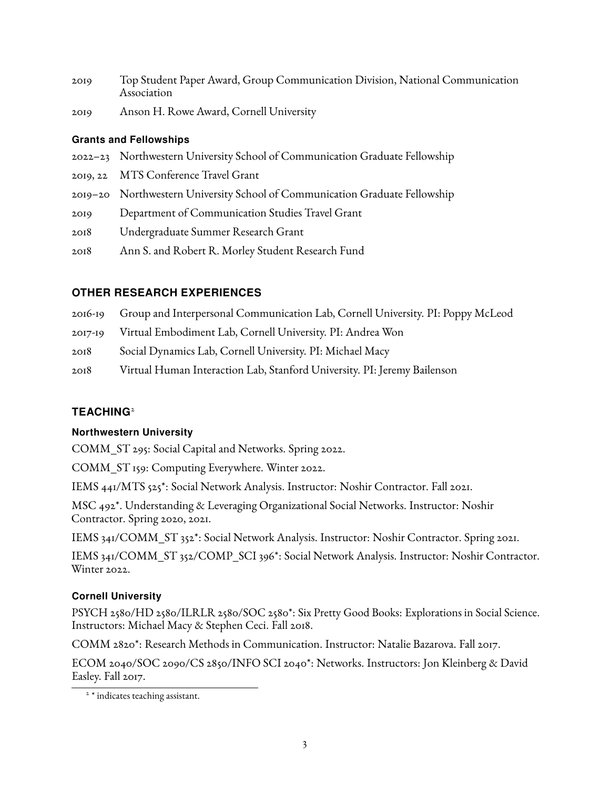- 2019 Top Student Paper Award, Group Communication Division, National Communication Association
- 2019 Anson H. Rowe Award, Cornell University

# **Grants and Fellowships**

- 2022–23 Northwestern University School of Communication Graduate Fellowship
- 2019, 22 MTS Conference Travel Grant
- 2019–20 Northwestern University School of Communication Graduate Fellowship
- 2019 Department of Communication Studies Travel Grant
- 2018 Undergraduate Summer Research Grant
- 2018 Ann S. and Robert R. Morley Student Research Fund

# **OTHER RESEARCH EXPERIENCES**

- 2016-19 Group and Interpersonal Communication Lab, Cornell University. PI: Poppy McLeod
- 2017-19 Virtual Embodiment Lab, Cornell University. PI: Andrea Won
- 2018 Social Dynamics Lab, Cornell University. PI: Michael Macy
- 2018 Virtual Human Interaction Lab, Stanford University. PI: Jeremy Bailenson

# **TEACHING**[2](#page-0-0)

# **Northwestern University**

COMM\_ST 295: Social Capital and Networks. Spring 2022.

COMM\_ST 159: Computing Everywhere. Winter 2022.

IEMS 441/MTS 525\*: Social Network Analysis. Instructor: Noshir Contractor. Fall 2021.

MSC 492\*. Understanding & Leveraging Organizational Social Networks. Instructor: Noshir Contractor. Spring 2020, 2021.

IEMS 341/COMM\_ST 352\*: Social Network Analysis. Instructor: Noshir Contractor. Spring 2021.

IEMS 341/COMM\_ST 352/COMP\_SCI 396\*: Social Network Analysis. Instructor: Noshir Contractor. Winter 2022.

# **Cornell University**

PSYCH 2580/HD 2580/ILRLR 2580/SOC 2580\*: Six Pretty Good Books: Explorations in Social Science. Instructors: Michael Macy & Stephen Ceci. Fall 2018.

COMM 2820\*: Research Methods in Communication. Instructor: Natalie Bazarova. Fall 2017.

ECOM 2040/SOC 2090/CS 2850/INFO SCI 2040\*: Networks. Instructors: Jon Kleinberg & David Easley. Fall 2017.

<sup>&</sup>lt;sup>2</sup> \* indicates teaching assistant.